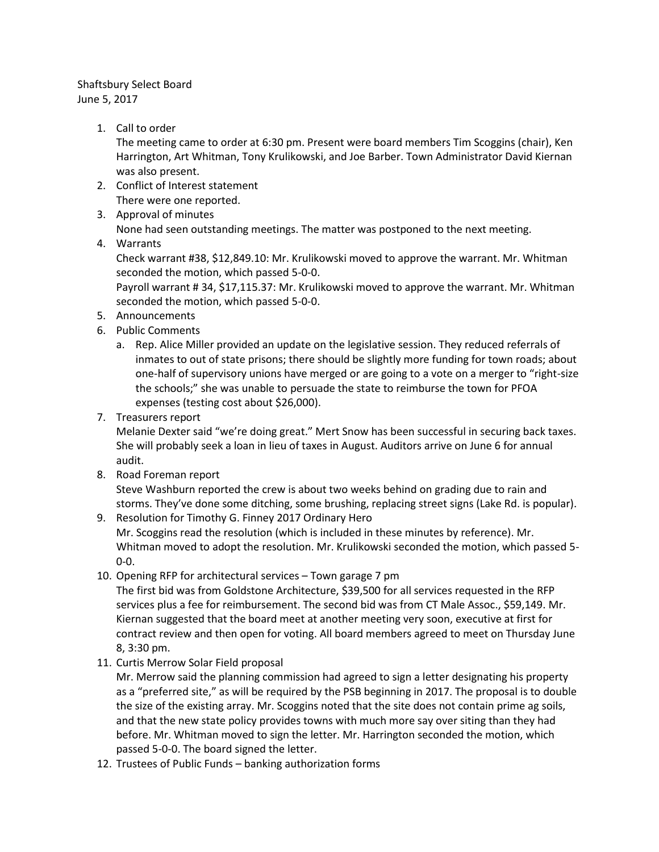## Shaftsbury Select Board June 5, 2017

1. Call to order

The meeting came to order at 6:30 pm. Present were board members Tim Scoggins (chair), Ken Harrington, Art Whitman, Tony Krulikowski, and Joe Barber. Town Administrator David Kiernan was also present.

- 2. Conflict of Interest statement There were one reported.
- 3. Approval of minutes

None had seen outstanding meetings. The matter was postponed to the next meeting.

4. Warrants

Check warrant #38, \$12,849.10: Mr. Krulikowski moved to approve the warrant. Mr. Whitman seconded the motion, which passed 5-0-0.

Payroll warrant # 34, \$17,115.37: Mr. Krulikowski moved to approve the warrant. Mr. Whitman seconded the motion, which passed 5-0-0.

- 5. Announcements
- 6. Public Comments
	- a. Rep. Alice Miller provided an update on the legislative session. They reduced referrals of inmates to out of state prisons; there should be slightly more funding for town roads; about one-half of supervisory unions have merged or are going to a vote on a merger to "right-size the schools;" she was unable to persuade the state to reimburse the town for PFOA expenses (testing cost about \$26,000).
- 7. Treasurers report

Melanie Dexter said "we're doing great." Mert Snow has been successful in securing back taxes. She will probably seek a loan in lieu of taxes in August. Auditors arrive on June 6 for annual audit.

8. Road Foreman report

Steve Washburn reported the crew is about two weeks behind on grading due to rain and storms. They've done some ditching, some brushing, replacing street signs (Lake Rd. is popular).

- 9. Resolution for Timothy G. Finney 2017 Ordinary Hero Mr. Scoggins read the resolution (which is included in these minutes by reference). Mr. Whitman moved to adopt the resolution. Mr. Krulikowski seconded the motion, which passed 5- 0-0.
- 10. Opening RFP for architectural services Town garage 7 pm

The first bid was from Goldstone Architecture, \$39,500 for all services requested in the RFP services plus a fee for reimbursement. The second bid was from CT Male Assoc., \$59,149. Mr. Kiernan suggested that the board meet at another meeting very soon, executive at first for contract review and then open for voting. All board members agreed to meet on Thursday June 8, 3:30 pm.

11. Curtis Merrow Solar Field proposal

Mr. Merrow said the planning commission had agreed to sign a letter designating his property as a "preferred site," as will be required by the PSB beginning in 2017. The proposal is to double the size of the existing array. Mr. Scoggins noted that the site does not contain prime ag soils, and that the new state policy provides towns with much more say over siting than they had before. Mr. Whitman moved to sign the letter. Mr. Harrington seconded the motion, which passed 5-0-0. The board signed the letter.

12. Trustees of Public Funds – banking authorization forms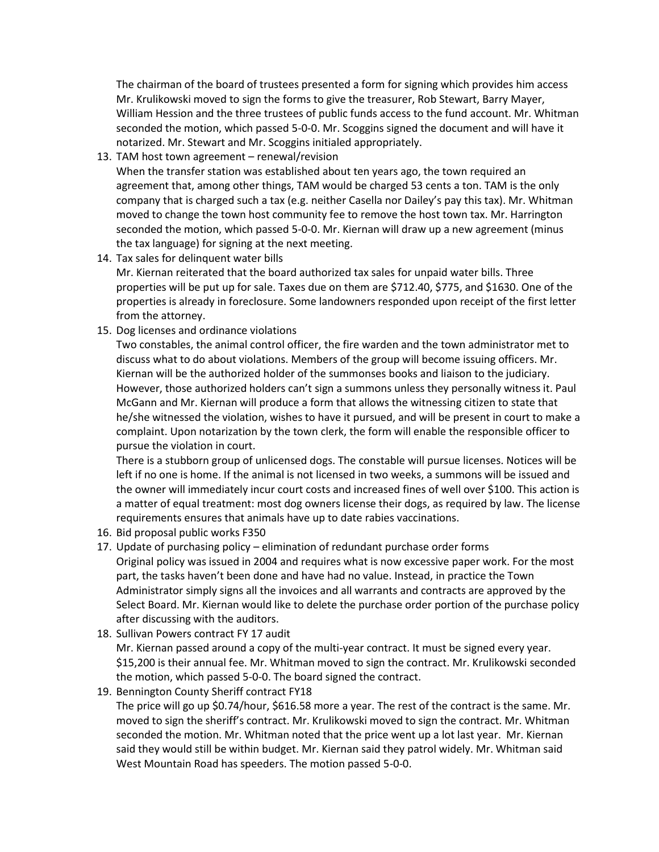The chairman of the board of trustees presented a form for signing which provides him access Mr. Krulikowski moved to sign the forms to give the treasurer, Rob Stewart, Barry Mayer, William Hession and the three trustees of public funds access to the fund account. Mr. Whitman seconded the motion, which passed 5-0-0. Mr. Scoggins signed the document and will have it notarized. Mr. Stewart and Mr. Scoggins initialed appropriately.

13. TAM host town agreement – renewal/revision

When the transfer station was established about ten years ago, the town required an agreement that, among other things, TAM would be charged 53 cents a ton. TAM is the only company that is charged such a tax (e.g. neither Casella nor Dailey's pay this tax). Mr. Whitman moved to change the town host community fee to remove the host town tax. Mr. Harrington seconded the motion, which passed 5-0-0. Mr. Kiernan will draw up a new agreement (minus the tax language) for signing at the next meeting.

- 14. Tax sales for delinquent water bills Mr. Kiernan reiterated that the board authorized tax sales for unpaid water bills. Three properties will be put up for sale. Taxes due on them are \$712.40, \$775, and \$1630. One of the properties is already in foreclosure. Some landowners responded upon receipt of the first letter from the attorney.
- 15. Dog licenses and ordinance violations

Two constables, the animal control officer, the fire warden and the town administrator met to discuss what to do about violations. Members of the group will become issuing officers. Mr. Kiernan will be the authorized holder of the summonses books and liaison to the judiciary. However, those authorized holders can't sign a summons unless they personally witness it. Paul McGann and Mr. Kiernan will produce a form that allows the witnessing citizen to state that he/she witnessed the violation, wishes to have it pursued, and will be present in court to make a complaint. Upon notarization by the town clerk, the form will enable the responsible officer to pursue the violation in court.

There is a stubborn group of unlicensed dogs. The constable will pursue licenses. Notices will be left if no one is home. If the animal is not licensed in two weeks, a summons will be issued and the owner will immediately incur court costs and increased fines of well over \$100. This action is a matter of equal treatment: most dog owners license their dogs, as required by law. The license requirements ensures that animals have up to date rabies vaccinations.

- 16. Bid proposal public works F350
- 17. Update of purchasing policy elimination of redundant purchase order forms Original policy was issued in 2004 and requires what is now excessive paper work. For the most part, the tasks haven't been done and have had no value. Instead, in practice the Town Administrator simply signs all the invoices and all warrants and contracts are approved by the Select Board. Mr. Kiernan would like to delete the purchase order portion of the purchase policy after discussing with the auditors.
- 18. Sullivan Powers contract FY 17 audit

Mr. Kiernan passed around a copy of the multi-year contract. It must be signed every year. \$15,200 is their annual fee. Mr. Whitman moved to sign the contract. Mr. Krulikowski seconded the motion, which passed 5-0-0. The board signed the contract.

19. Bennington County Sheriff contract FY18

The price will go up \$0.74/hour, \$616.58 more a year. The rest of the contract is the same. Mr. moved to sign the sheriff's contract. Mr. Krulikowski moved to sign the contract. Mr. Whitman seconded the motion. Mr. Whitman noted that the price went up a lot last year. Mr. Kiernan said they would still be within budget. Mr. Kiernan said they patrol widely. Mr. Whitman said West Mountain Road has speeders. The motion passed 5-0-0.